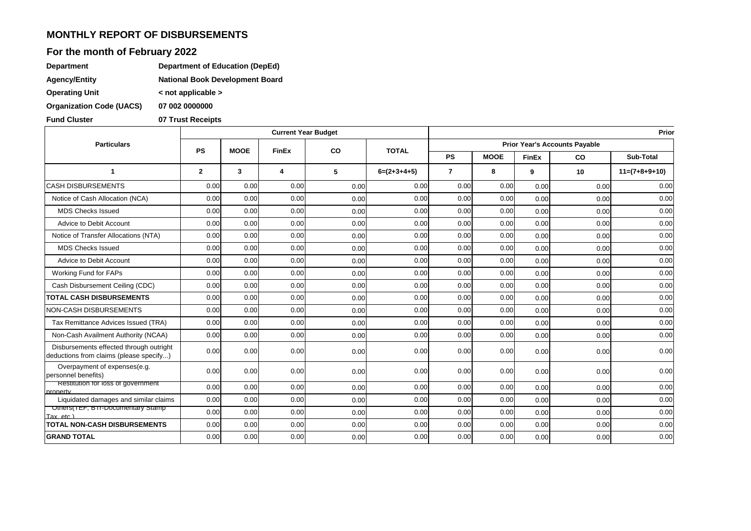## **MONTHLY REPORT OF DISBURSEMENTS**

# **For the month of February 2022**

| <b>Department</b>               | Department of Education (DepEd)        |
|---------------------------------|----------------------------------------|
| <b>Agency/Entity</b>            | <b>National Book Development Board</b> |
| <b>Operating Unit</b>           | $\leq$ not applicable $\geq$           |
| <b>Organization Code (UACS)</b> | 07 002 0000000                         |

**Fund Cluster 07 Trust Receipts**

|                                                                                    |              |             | <b>Current Year Budget</b> |      |               |                                      |             |              |      | Prior            |  |
|------------------------------------------------------------------------------------|--------------|-------------|----------------------------|------|---------------|--------------------------------------|-------------|--------------|------|------------------|--|
| <b>Particulars</b>                                                                 | <b>PS</b>    | <b>MOOE</b> | <b>FinEx</b>               | co   |               | <b>Prior Year's Accounts Payable</b> |             |              |      |                  |  |
|                                                                                    |              |             |                            |      | <b>TOTAL</b>  | <b>PS</b>                            | <b>MOOE</b> | <b>FinEx</b> | CO   | <b>Sub-Total</b> |  |
| $\mathbf 1$                                                                        | $\mathbf{2}$ | 3           | $\overline{4}$             | 5    | $6=(2+3+4+5)$ | $\overline{7}$                       | 8           | 9            | 10   | $11=(7+8+9+10)$  |  |
| <b>CASH DISBURSEMENTS</b>                                                          | 0.00         | 0.00        | 0.00                       | 0.00 | 0.00          | 0.00                                 | 0.00        | 0.00         | 0.00 | 0.00             |  |
| Notice of Cash Allocation (NCA)                                                    | 0.00         | 0.00        | 0.00                       | 0.00 | 0.00          | 0.00                                 | 0.00        | 0.00         | 0.00 | 0.00             |  |
| <b>MDS Checks Issued</b>                                                           | 0.00         | 0.00        | 0.00                       | 0.00 | 0.00          | 0.00                                 | 0.00        | 0.00         | 0.00 | 0.00             |  |
| Advice to Debit Account                                                            | 0.00         | 0.00        | 0.00                       | 0.00 | 0.00          | 0.00                                 | 0.00        | 0.00         | 0.00 | 0.00             |  |
| Notice of Transfer Allocations (NTA)                                               | 0.00         | 0.00        | 0.00                       | 0.00 | 0.00          | 0.00                                 | 0.00        | 0.00         | 0.00 | 0.00             |  |
| <b>MDS Checks Issued</b>                                                           | 0.00         | 0.00        | 0.00                       | 0.00 | 0.00          | 0.00                                 | 0.00        | 0.00         | 0.00 | 0.00             |  |
| Advice to Debit Account                                                            | 0.00         | 0.00        | 0.00                       | 0.00 | 0.00          | 0.00                                 | 0.00        | 0.00         | 0.00 | 0.00             |  |
| Working Fund for FAPs                                                              | 0.00         | 0.00        | 0.00                       | 0.00 | 0.00          | 0.00                                 | 0.00        | 0.00         | 0.00 | 0.00             |  |
| Cash Disbursement Ceiling (CDC)                                                    | 0.00         | 0.00        | 0.00                       | 0.00 | 0.00          | 0.00                                 | 0.00        | 0.00         | 0.00 | 0.00             |  |
| <b>TOTAL CASH DISBURSEMENTS</b>                                                    | 0.00         | 0.00        | 0.00                       | 0.00 | 0.00          | 0.00                                 | 0.00        | 0.00         | 0.00 | 0.00             |  |
| NON-CASH DISBURSEMENTS                                                             | 0.00         | 0.00        | 0.00                       | 0.00 | 0.00          | 0.00                                 | 0.00        | 0.00         | 0.00 | 0.00             |  |
| Tax Remittance Advices Issued (TRA)                                                | 0.00         | 0.00        | 0.00                       | 0.00 | 0.00          | 0.00                                 | 0.00        | 0.00         | 0.00 | 0.00             |  |
| Non-Cash Availment Authority (NCAA)                                                | 0.00         | 0.00        | 0.00                       | 0.00 | 0.00          | 0.00                                 | 0.00        | 0.00         | 0.00 | 0.00             |  |
| Disbursements effected through outright<br>deductions from claims (please specify) | 0.00         | 0.00        | 0.00                       | 0.00 | 0.00          | 0.00                                 | 0.00        | 0.00         | 0.00 | 0.00             |  |
| Overpayment of expenses(e.g.<br>personnel benefits)                                | 0.00         | 0.00        | 0.00                       | 0.00 | 0.00          | 0.00                                 | 0.00        | 0.00         | 0.00 | 0.00             |  |
| Restitution for loss of government<br>property                                     | 0.00         | 0.00        | 0.00                       | 0.00 | 0.00          | 0.00                                 | 0.00        | 0.00         | 0.00 | 0.00             |  |
| Liquidated damages and similar claims                                              | 0.00         | 0.00        | 0.00                       | 0.00 | 0.00          | 0.00                                 | 0.00        | 0.00         | 0.00 | 0.00             |  |
| Others(TEF, BTPDocumentary Stamp<br>Tax, etc.)                                     | 0.00         | 0.00        | 0.00                       | 0.00 | 0.00          | 0.00                                 | 0.00        | 0.00         | 0.00 | 0.00             |  |
| <b>TOTAL NON-CASH DISBURSEMENTS</b>                                                | 0.00         | 0.00        | 0.00                       | 0.00 | 0.00          | 0.00                                 | 0.00        | 0.00         | 0.00 | 0.00             |  |
| <b>GRAND TOTAL</b>                                                                 | 0.00         | 0.00        | 0.00                       | 0.00 | 0.00          | 0.00                                 | 0.00        | 0.00         | 0.00 | 0.00             |  |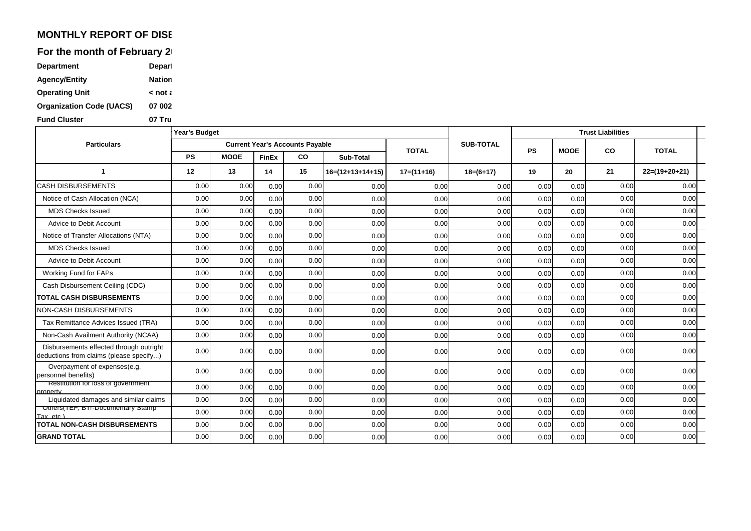## **MONTHLY REPORT OF DISE**

For the month of February 2

| <b>Department</b>               | Depart        |
|---------------------------------|---------------|
| <b>Agency/Entity</b>            | <b>Nation</b> |
| <b>Operating Unit</b>           | $\leq$ not a  |
| <b>Organization Code (UACS)</b> | 07 002        |
| <b>Fund Cluster</b>             | 07 Tru        |

|                                                                                    | <b>Year's Budget</b> |             |              |                                        |                    |              |                  | <b>Trust Liabilities</b> |             |      |                 |
|------------------------------------------------------------------------------------|----------------------|-------------|--------------|----------------------------------------|--------------------|--------------|------------------|--------------------------|-------------|------|-----------------|
| <b>Particulars</b>                                                                 |                      |             |              | <b>Current Year's Accounts Payable</b> |                    | <b>TOTAL</b> | <b>SUB-TOTAL</b> |                          | <b>MOOE</b> |      |                 |
|                                                                                    | <b>PS</b>            | <b>MOOE</b> | <b>FinEx</b> | CO                                     | Sub-Total          |              |                  | <b>PS</b>                |             | co   | <b>TOTAL</b>    |
|                                                                                    | 12                   | 13          | 14           | 15                                     | $16=(12+13+14+15)$ | $17=(11+16)$ | $18=(6+17)$      | 19                       | 20          | 21   | $22=(19+20+21)$ |
| <b>CASH DISBURSEMENTS</b>                                                          | 0.00                 | 0.00        | 0.00         | 0.00                                   | 0.00               | 0.00         | 0.00             | 0.00                     | 0.00        | 0.00 | 0.00            |
| Notice of Cash Allocation (NCA)                                                    | 0.00                 | 0.00        | 0.00         | 0.00                                   | 0.00               | 0.00         | 0.00             | 0.00                     | 0.00        | 0.00 | 0.00            |
| <b>MDS Checks Issued</b>                                                           | 0.00                 | 0.00        | 0.00         | 0.00                                   | 0.00               | 0.00         | 0.00             | 0.00                     | 0.00        | 0.00 | 0.00            |
| Advice to Debit Account                                                            | 0.00                 | 0.00        | 0.00         | 0.00                                   | 0.00               | 0.00         | 0.00             | 0.00                     | 0.00        | 0.00 | 0.00            |
| Notice of Transfer Allocations (NTA)                                               | 0.00                 | 0.00        | 0.00         | 0.00                                   | 0.00               | 0.00         | 0.00             | 0.00                     | 0.00        | 0.00 | 0.00            |
| <b>MDS Checks Issued</b>                                                           | 0.00                 | 0.00        | 0.00         | 0.00                                   | 0.00               | 0.00         | 0.00             | 0.00                     | 0.00        | 0.00 | 0.00            |
| Advice to Debit Account                                                            | 0.00                 | 0.00        | 0.00         | 0.00                                   | 0.00               | 0.00         | 0.00             | 0.00                     | 0.00        | 0.00 | 0.00            |
| Working Fund for FAPs                                                              | 0.00                 | 0.00        | 0.00         | 0.00                                   | 0.00               | 0.00         | 0.00             | 0.00                     | 0.00        | 0.00 | 0.00            |
| Cash Disbursement Ceiling (CDC)                                                    | 0.00                 | 0.00        | 0.00         | 0.00                                   | 0.00               | 0.00         | 0.00             | 0.00                     | 0.00        | 0.00 | 0.00            |
| <b>TOTAL CASH DISBURSEMENTS</b>                                                    | 0.00                 | 0.00        | 0.00         | 0.00                                   | 0.00               | 0.00         | 0.00             | 0.00                     | 0.00        | 0.00 | 0.00            |
| <b>VON-CASH DISBURSEMENTS</b>                                                      | 0.00                 | 0.00        | 0.00         | 0.00                                   | 0.00               | 0.00         | 0.00             | 0.00                     | 0.00        | 0.00 | 0.00            |
| Tax Remittance Advices Issued (TRA)                                                | 0.00                 | 0.00        | 0.00         | 0.00                                   | 0.00               | 0.00         | 0.00             | 0.00                     | 0.00        | 0.00 | 0.00            |
| Non-Cash Availment Authority (NCAA)                                                | 0.00                 | 0.00        | 0.00         | 0.00                                   | 0.00               | 0.00         | 0.00             | 0.00                     | 0.00        | 0.00 | 0.00            |
| Disbursements effected through outright<br>deductions from claims (please specify) | 0.00                 | 0.00        | 0.00         | 0.00                                   | 0.00               | 0.00         | 0.00             | 0.00                     | 0.00        | 0.00 | 0.00            |
| Overpayment of expenses(e.g.<br>personnel benefits)                                | 0.00                 | 0.00        | 0.00         | 0.00                                   | 0.00               | 0.00         | 0.00             | 0.00                     | 0.00        | 0.00 | 0.00            |
| Restitution for loss of government<br>property                                     | 0.00                 | 0.00        | 0.00         | 0.00                                   | 0.00               | 0.00         | 0.00             | 0.00                     | 0.00        | 0.00 | 0.00            |
| Liquidated damages and similar claims                                              | 0.00                 | 0.00        | 0.00         | 0.00                                   | 0.00               | 0.00         | 0.00             | 0.00                     | 0.00        | 0.00 | 0.00            |
| Others(TEF, BTF-Documentary Stamp<br>$Tax. etc.$ )                                 | 0.00                 | 0.00        | 0.00         | 0.00                                   | 0.00               | 0.00         | 0.00             | 0.00                     | 0.00        | 0.00 | 0.00            |
| <b>ITOTAL NON-CASH DISBURSEMENTS</b>                                               | 0.00                 | 0.00        | 0.00         | 0.00                                   | 0.00               | 0.00         | 0.00             | 0.00                     | 0.00        | 0.00 | 0.00            |
| <b>GRAND TOTAL</b>                                                                 | 0.00                 | 0.00        | 0.00         | 0.00                                   | 0.00               | 0.00         | 0.00             | 0.00                     | 0.00        | 0.00 | 0.00            |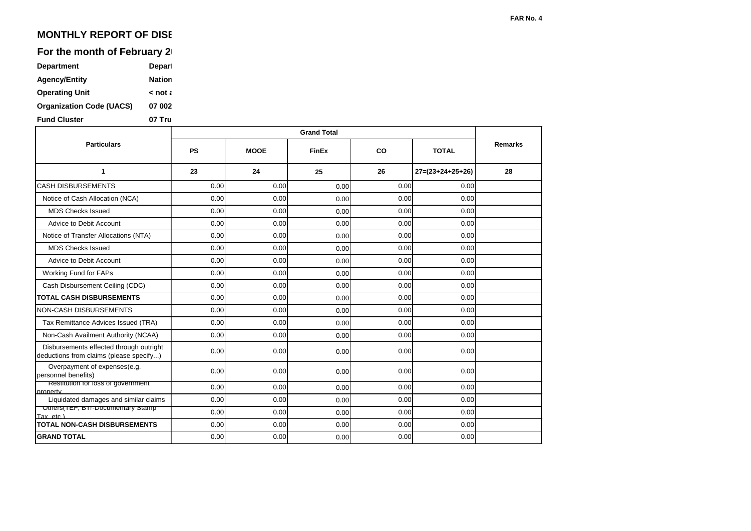## **MONTHLY REPORT OF DISE**

### For the month of February 2

| <b>Department</b>               | <b>Depart</b> |
|---------------------------------|---------------|
| <b>Agency/Entity</b>            | <b>Nation</b> |
| <b>Operating Unit</b>           | $\leq$ not a  |
| <b>Organization Code (UACS)</b> | 07 002        |
| <b>Fund Cluster</b>             | 07 Tru        |

**GRAND TOTAL TOTAL NON-CASH DISBURSEMENTS** Others(TEF, BTr-Documentary Stamp Tax, etc.) Liquidated damages and similar claims **Restitution for loss of government** property Overpayment of expenses(e.g. personnel benefits) Disbursements effected through outright deductions from claims (please specify...) Non-Cash Availment Authority (NCAA) Tax Remittance Advices Issued (TRA) NON-CASH DISBURSEMENTS **TOTAL CASH DISBURSEMENTS** Cash Disbursement Ceiling (CDC) Working Fund for FAPs Advice to Debit Account MDS Checks Issued Notice of Transfer Allocations (NTA) Advice to Debit Account MDS Checks Issued Notice of Cash Allocation (NCA) CASH DISBURSEMENTS **1 Particulars 25** 0.00 0.00 0.00 0.00 0.00 0.00 0.00 0.00 0.00 0.00 0.00 0.00 0.00 0.00 0.00 0.00 0.00 0.00 0.00 0.00 0.00 0.00 0.00 0.00 0.00 0.00 0.00 0.00 0.00 0.00 0.00 0.00 0.00 0.00 0.00 0.00 0.00 0.00 0.00 0.00 0.00 0.00 0.00 0.00 0.00 0.00 0.00 0.00 0.00 0.00 0.00 0.00 0.00 0.00 0.00 0.00 0.00 0.00 0.00 0.00 0.00 0.00 0.00 0.00 0.00 0.00 0.00 0.00 0.00 0.00 0.00 0.00 0.00 0.00 0.00 0.00 0.00 0.00 0.00 0.00 0.00 0.00 0.00 0.00 0.00 0.00 0.00 0.00 0.00 0.00 0.00 **26 27=(23+24+25+26) 28** 0.00 0.00 0.00 0.00 **Remarks 23 24 PS MOOE FinEx CO TOTAL Grand Total**

0.00 0.00 0.00 0.00 0.00

**FAR No. 4**